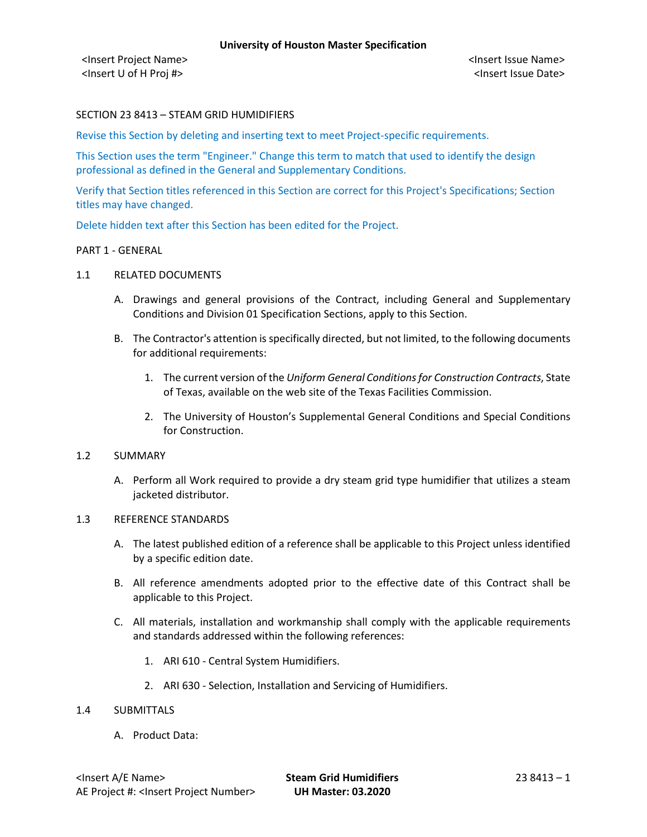# SECTION 23 8413 – STEAM GRID HUMIDIFIERS

Revise this Section by deleting and inserting text to meet Project-specific requirements.

This Section uses the term "Engineer." Change this term to match that used to identify the design professional as defined in the General and Supplementary Conditions.

Verify that Section titles referenced in this Section are correct for this Project's Specifications; Section titles may have changed.

Delete hidden text after this Section has been edited for the Project.

# PART 1 - GENERAL

# 1.1 RELATED DOCUMENTS

- A. Drawings and general provisions of the Contract, including General and Supplementary Conditions and Division 01 Specification Sections, apply to this Section.
- B. The Contractor's attention is specifically directed, but not limited, to the following documents for additional requirements:
	- 1. The current version of the *Uniform General Conditions for Construction Contracts*, State of Texas, available on the web site of the Texas Facilities Commission.
	- 2. The University of Houston's Supplemental General Conditions and Special Conditions for Construction.

# 1.2 SUMMARY

A. Perform all Work required to provide a dry steam grid type humidifier that utilizes a steam jacketed distributor.

#### 1.3 REFERENCE STANDARDS

- A. The latest published edition of a reference shall be applicable to this Project unless identified by a specific edition date.
- B. All reference amendments adopted prior to the effective date of this Contract shall be applicable to this Project.
- C. All materials, installation and workmanship shall comply with the applicable requirements and standards addressed within the following references:
	- 1. ARI 610 Central System Humidifiers.
	- 2. ARI 630 Selection, Installation and Servicing of Humidifiers.

# 1.4 SUBMITTALS

A. Product Data: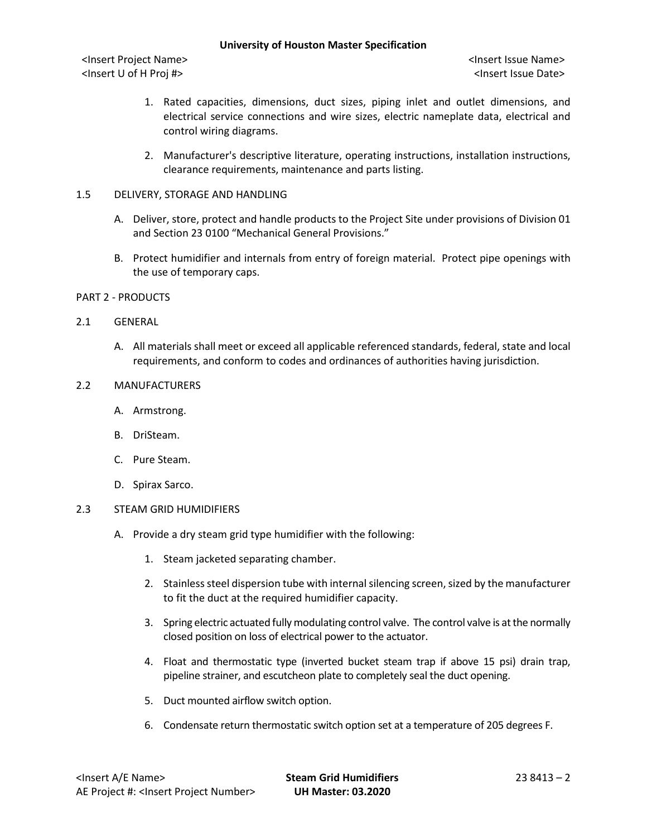#### **University of Houston Master Specification**

<Insert Project Name> <Insert Issue Name> <Insert U of H Proj #> <Insert Issue Date>

- 1. Rated capacities, dimensions, duct sizes, piping inlet and outlet dimensions, and electrical service connections and wire sizes, electric nameplate data, electrical and control wiring diagrams.
- 2. Manufacturer's descriptive literature, operating instructions, installation instructions, clearance requirements, maintenance and parts listing.

# 1.5 DELIVERY, STORAGE AND HANDLING

- A. Deliver, store, protect and handle products to the Project Site under provisions of Division 01 and Section 23 0100 "Mechanical General Provisions."
- B. Protect humidifier and internals from entry of foreign material. Protect pipe openings with the use of temporary caps.
- PART 2 PRODUCTS

# 2.1 GENERAL

A. All materials shall meet or exceed all applicable referenced standards, federal, state and local requirements, and conform to codes and ordinances of authorities having jurisdiction.

# 2.2 MANUFACTURERS

- A. Armstrong.
- B. DriSteam.
- C. Pure Steam.
- D. Spirax Sarco.

# 2.3 STEAM GRID HUMIDIFIERS

- A. Provide a dry steam grid type humidifier with the following:
	- 1. Steam jacketed separating chamber.
	- 2. Stainless steel dispersion tube with internal silencing screen, sized by the manufacturer to fit the duct at the required humidifier capacity.
	- 3. Spring electric actuated fully modulating control valve. The control valve is at the normally closed position on loss of electrical power to the actuator.
	- 4. Float and thermostatic type (inverted bucket steam trap if above 15 psi) drain trap, pipeline strainer, and escutcheon plate to completely seal the duct opening.
	- 5. Duct mounted airflow switch option.
	- 6. Condensate return thermostatic switch option set at a temperature of 205 degrees F.